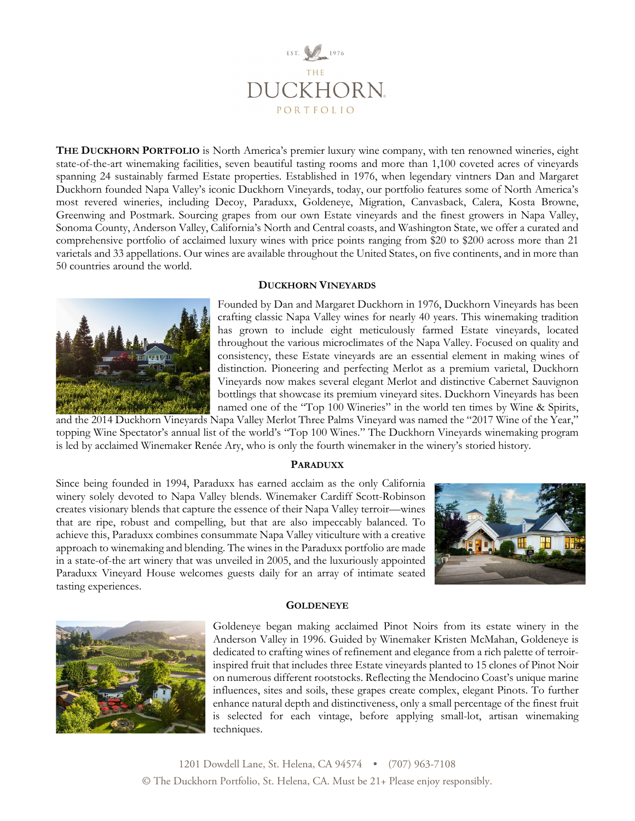

**THE DUCKHORN PORTFOLIO** is North America's premier luxury wine company, with ten renowned wineries, eight state-of-the-art winemaking facilities, seven beautiful tasting rooms and more than 1,100 coveted acres of vineyards spanning 24 sustainably farmed Estate properties. Established in 1976, when legendary vintners Dan and Margaret Duckhorn founded Napa Valley's iconic Duckhorn Vineyards, today, our portfolio features some of North America's most revered wineries, including Decoy, Paraduxx, Goldeneye, Migration, Canvasback, Calera, Kosta Browne, Greenwing and Postmark. Sourcing grapes from our own Estate vineyards and the finest growers in Napa Valley, Sonoma County, Anderson Valley, California's North and Central coasts, and Washington State, we offer a curated and comprehensive portfolio of acclaimed luxury wines with price points ranging from \$20 to \$200 across more than 21 varietals and 33 appellations. Our wines are available throughout the United States, on five continents, and in more than 50 countries around the world.

# **DUCKHORN VINEYARDS**



Founded by Dan and Margaret Duckhorn in 1976, Duckhorn Vineyards has been crafting classic Napa Valley wines for nearly 40 years. This winemaking tradition has grown to include eight meticulously farmed Estate vineyards, located throughout the various microclimates of the Napa Valley. Focused on quality and consistency, these Estate vineyards are an essential element in making wines of distinction. Pioneering and perfecting Merlot as a premium varietal, Duckhorn Vineyards now makes several elegant Merlot and distinctive Cabernet Sauvignon bottlings that showcase its premium vineyard sites. Duckhorn Vineyards has been named one of the "Top 100 Wineries" in the world ten times by Wine & Spirits,

and the 2014 Duckhorn Vineyards Napa Valley Merlot Three Palms Vineyard was named the "2017 Wine of the Year," topping Wine Spectator's annual list of the world's "Top 100 Wines." The Duckhorn Vineyards winemaking program is led by acclaimed Winemaker Renée Ary, who is only the fourth winemaker in the winery's storied history.

# **PARADUXX**

Since being founded in 1994, Paraduxx has earned acclaim as the only California winery solely devoted to Napa Valley blends. Winemaker Cardiff Scott-Robinson creates visionary blends that capture the essence of their Napa Valley terroir—wines that are ripe, robust and compelling, but that are also impeccably balanced. To achieve this, Paraduxx combines consummate Napa Valley viticulture with a creative approach to winemaking and blending. The wines in the Paraduxx portfolio are made in a state-of-the art winery that was unveiled in 2005, and the luxuriously appointed Paraduxx Vineyard House welcomes guests daily for an array of intimate seated tasting experiences.





**GOLDENEYE**

Goldeneye began making acclaimed Pinot Noirs from its estate winery in the Anderson Valley in 1996. Guided by Winemaker Kristen McMahan, Goldeneye is dedicated to crafting wines of refinement and elegance from a rich palette of terroirinspired fruit that includes three Estate vineyards planted to 15 clones of Pinot Noir on numerous different rootstocks. Reflecting the Mendocino Coast's unique marine influences, sites and soils, these grapes create complex, elegant Pinots. To further enhance natural depth and distinctiveness, only a small percentage of the finest fruit is selected for each vintage, before applying small-lot, artisan winemaking techniques.

1201 Dowdell Lane, St. Helena, CA 94574 • (707) 963-7108 © The Duckhorn Portfolio, St. Helena, CA. Must be 21+ Please enjoy responsibly.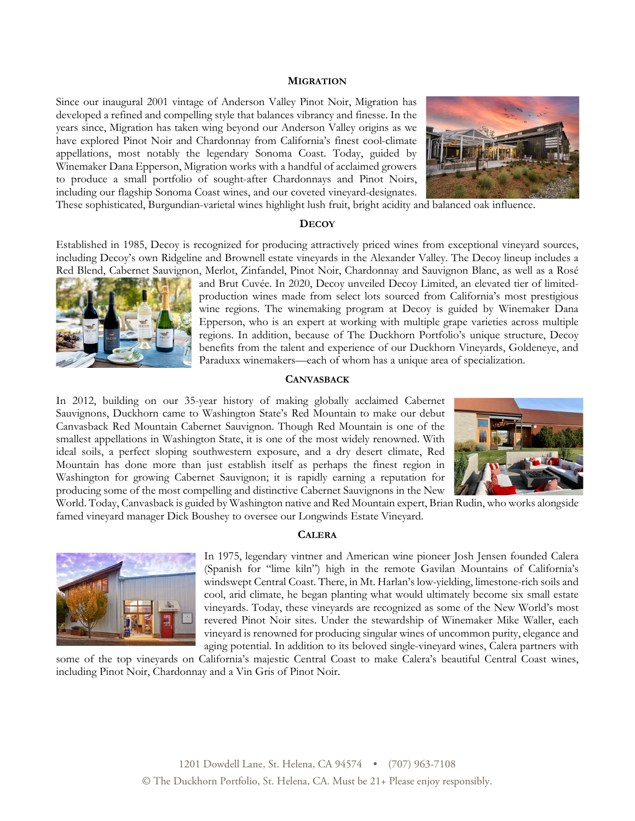### **MIGRATION**

Since our inaugural 2001 vintage of Anderson Valley Pinot Noir, Migration has developed a refined and compelling style that balances vibrancy and finesse. In the years since, Migration has taken wing beyond our Anderson Valley origins as we have explored Pinot Noir and Chardonnay from California's finest cool-climate appellations, most notably the legendary Sonoma Coast. Today, guided by Winemaker Dana Epperson, Migration works with a handful of acclaimed growers to produce a small portfolio of sought-after Chardonnays and Pinot Noirs, including our flagship Sonoma Coast wines, and our coveted vineyard-designates.



These sophisticated, Burgundian-varietal wines highlight lush fruit, bright acidity and balanced oak influence.

## **DECOY**

Established in 1985, Decoy is recognized for producing attractively priced wines from exceptional vineyard sources, including Decoy's own Ridgeline and Brownell estate vineyards in the Alexander Valley. The Decoy lineup includes a Red Blend, Cabernet Sauvignon, Merlot, Zinfandel, Pinot Noir, Chardonnay and Sauvignon Blanc, as well as a Rosé



and Brut Cuvée. In 2020, Decoy unveiled Decoy Limited, an elevated tier of limitedproduction wines made from select lots sourced from California's most prestigious wine regions. The winemaking program at Decoy is guided by Winemaker Dana Epperson, who is an expert at working with multiple grape varieties across multiple regions. In addition, because of The Duckhorn Portfolio's unique structure, Decoy benefits from the talent and experience of our Duckhorn Vineyards, Goldeneye, and Paraduxx winemakers—each of whom has a unique area of specialization.

## **CANVASBACK**

In 2012, building on our 35-year history of making globally acclaimed Cabernet Sauvignons, Duckhorn came to Washington State's Red Mountain to make our debut Canvasback Red Mountain Cabernet Sauvignon. Though Red Mountain is one of the smallest appellations in Washington State, it is one of the most widely renowned. With ideal soils, a perfect sloping southwestern exposure, and a dry desert climate, Red Mountain has done more than just establish itself as perhaps the finest region in Washington for growing Cabernet Sauvignon; it is rapidly earning a reputation for producing some of the most compelling and distinctive Cabernet Sauvignons in the New



World. Today, Canvasback is guided by Washington native and Red Mountain expert, Brian Rudin, who works alongside famed vineyard manager Dick Boushey to oversee our Longwinds Estate Vineyard.

### **CALERA**



In 1975, legendary vintner and American wine pioneer Josh Jensen founded Calera (Spanish for "lime kiln") high in the remote Gavilan Mountains of California's windswept Central Coast. There, in Mt. Harlan's low-yielding, limestone-rich soils and cool, arid climate, he began planting what would ultimately become six small estate vineyards. Today, these vineyards are recognized as some of the New World's most revered Pinot Noir sites. Under the stewardship of Winemaker Mike Waller, each vineyard is renowned for producing singular wines of uncommon purity, elegance and aging potential. In addition to its beloved single-vineyard wines, Calera partners with

some of the top vineyards on California's majestic Central Coast to make Calera's beautiful Central Coast wines, including Pinot Noir, Chardonnay and a Vin Gris of Pinot Noir.